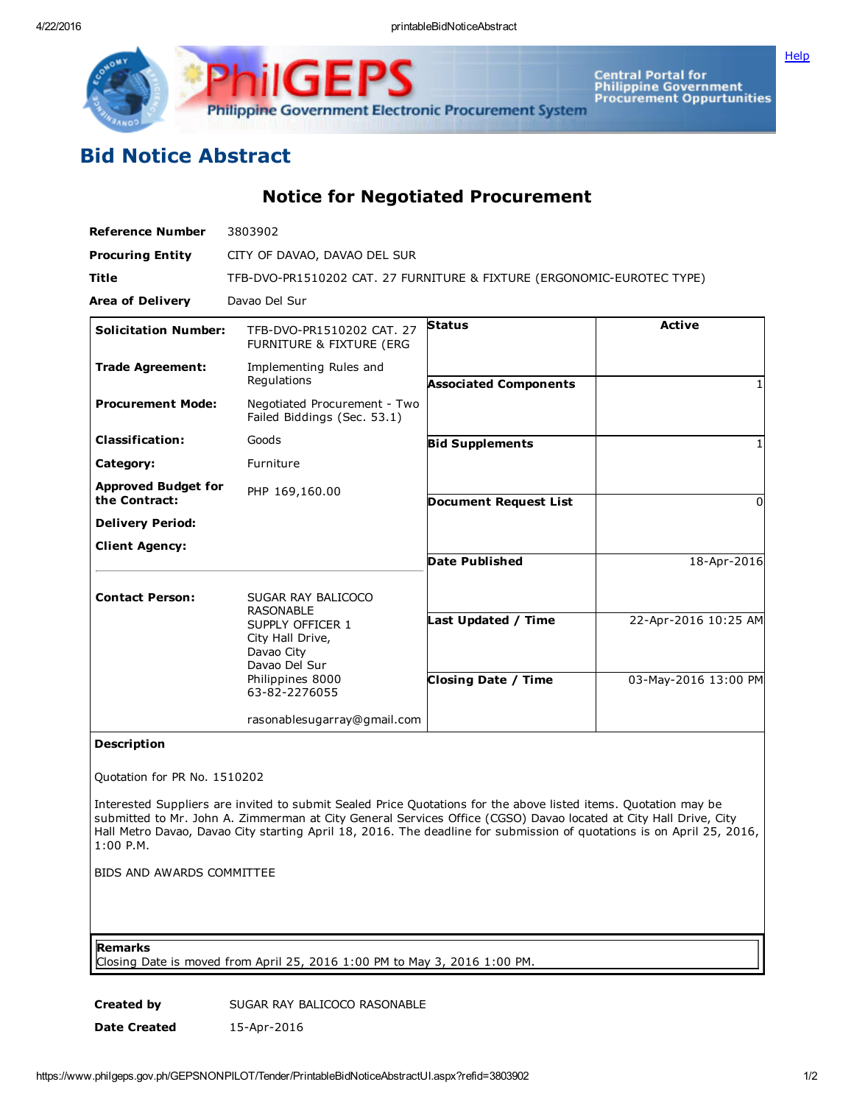

GF Central Portal for<br>Philippine Government<br>Procurement Oppurtunities Philippine Government Electronic Procurement System

## Bid Notice Abstract

Notice for Negotiated Procurement

| <b>Reference Number</b>                     | 3803902                                                                                                         |                              |                      |
|---------------------------------------------|-----------------------------------------------------------------------------------------------------------------|------------------------------|----------------------|
| <b>Procuring Entity</b>                     | CITY OF DAVAO, DAVAO DEL SUR                                                                                    |                              |                      |
| <b>Title</b>                                | TFB-DVO-PR1510202 CAT. 27 FURNITURE & FIXTURE (ERGONOMIC-EUROTEC TYPE)                                          |                              |                      |
| <b>Area of Delivery</b>                     | Davao Del Sur                                                                                                   |                              |                      |
| <b>Solicitation Number:</b>                 | TFB-DVO-PR1510202 CAT. 27<br><b>FURNITURE &amp; FIXTURE (ERG)</b>                                               | <b>Status</b>                | <b>Active</b>        |
| <b>Trade Agreement:</b>                     | Implementing Rules and<br>Regulations                                                                           | <b>Associated Components</b> |                      |
| <b>Procurement Mode:</b>                    | Negotiated Procurement - Two<br>Failed Biddings (Sec. 53.1)                                                     |                              |                      |
| <b>Classification:</b>                      | Goods                                                                                                           | <b>Bid Supplements</b>       |                      |
| Category:                                   | Furniture                                                                                                       |                              |                      |
| <b>Approved Budget for</b><br>the Contract: | PHP 169,160.00                                                                                                  | <b>Document Request List</b> | $\Omega$             |
| <b>Delivery Period:</b>                     |                                                                                                                 |                              |                      |
| <b>Client Agency:</b>                       |                                                                                                                 |                              |                      |
|                                             |                                                                                                                 | Date Published               | 18-Apr-2016          |
| <b>Contact Person:</b>                      | SUGAR RAY BALICOCO<br><b>RASONABLE</b>                                                                          |                              |                      |
|                                             | <b>SUPPLY OFFICER 1</b><br>City Hall Drive,<br>Davao City<br>Davao Del Sur<br>Philippines 8000<br>63-82-2276055 | Last Updated / Time          | 22-Apr-2016 10:25 AM |
|                                             |                                                                                                                 | <b>Closing Date / Time</b>   | 03-May-2016 13:00 PM |
|                                             | rasonablesugarray@gmail.com                                                                                     |                              |                      |

## Description

Quotation for PR No. 1510202

Interested Suppliers are invited to submit Sealed Price Quotations for the above listed items. Quotation may be submitted to Mr. John A. Zimmerman at City General Services Office (CGSO) Davao located at City Hall Drive, City Hall Metro Davao, Davao City starting April 18, 2016. The deadline for submission of quotations is on April 25, 2016, 1:00 P.M.

BIDS AND AWARDS COMMITTEE

Remarks

Closing Date is moved from April 25, 2016 1:00 PM to May 3, 2016 1:00 PM.

Created by SUGAR RAY BALICOCO RASONABLE Date Created 15-Apr-2016